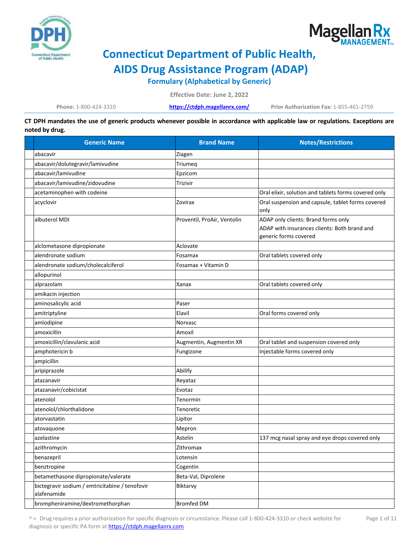



# **Connecticut Department of Public Health, AIDS Drug Assistance Program (ADAP)**

**Formulary (Alphabetical by Generic)**

**Effective Date: June 2, 2022**

**Phone:** 1-800-424-3310 **<https://ctdph.magellanrx.com/> Prior Authorization Fax:** 1-855-461-2759

**CT DPH mandates the use of generic products whenever possible in accordance with applicable law or regulations. Exceptions are noted by drug.**

| <b>Generic Name</b>                                           | <b>Brand Name</b>           | <b>Notes/Restrictions</b>                                                                                    |
|---------------------------------------------------------------|-----------------------------|--------------------------------------------------------------------------------------------------------------|
| abacavir                                                      | Ziagen                      |                                                                                                              |
| abacavir/dolutegravir/lamivudine                              | Triumeg                     |                                                                                                              |
| abacavir/lamivudine                                           | Epzicom                     |                                                                                                              |
| abacavir/lamivudine/zidovudine                                | Trizivir                    |                                                                                                              |
| acetaminophen with codeine                                    |                             | Oral elixir, solution and tablets forms covered only                                                         |
| acyclovir                                                     | Zovirax                     | Oral suspension and capsule, tablet forms covered<br>only                                                    |
| albuterol MDI                                                 | Proventil, ProAir, Ventolin | ADAP only clients: Brand forms only<br>ADAP with insurances clients: Both brand and<br>generic forms covered |
| alclometasone dipropionate                                    | Aclovate                    |                                                                                                              |
| alendronate sodium                                            | Fosamax                     | Oral tablets covered only                                                                                    |
| alendronate sodium/cholecalciferol                            | Fosamax + Vitamin D         |                                                                                                              |
| allopurinol                                                   |                             |                                                                                                              |
| alprazolam                                                    | Xanax                       | Oral tablets covered only                                                                                    |
| amikacin injection                                            |                             |                                                                                                              |
| aminosalicylic acid                                           | Paser                       |                                                                                                              |
| amitriptyline                                                 | Elavil                      | Oral forms covered only                                                                                      |
| amlodipine                                                    | Norvasc                     |                                                                                                              |
| amoxicillin                                                   | Amoxil                      |                                                                                                              |
| amoxicillin/clavulanic acid                                   | Augmentin, Augmentin XR     | Oral tablet and suspension covered only                                                                      |
| amphotericin b                                                | Fungizone                   | Injectable forms covered only                                                                                |
| ampicillin                                                    |                             |                                                                                                              |
| aripiprazole                                                  | Abilify                     |                                                                                                              |
| atazanavir                                                    | Reyataz                     |                                                                                                              |
| atazanavir/cobicistat                                         | Evotaz                      |                                                                                                              |
| atenolol                                                      | Tenormin                    |                                                                                                              |
| atenolol/chlorthalidone                                       | Tenoretic                   |                                                                                                              |
| atorvastatin                                                  | Lipitor                     |                                                                                                              |
| atovaquone                                                    | Mepron                      |                                                                                                              |
| azelastine                                                    | Astelin                     | 137 mcg nasal spray and eye drops covered only                                                               |
| azithromycin                                                  | Zithromax                   |                                                                                                              |
| benazepril                                                    | Lotensin                    |                                                                                                              |
| benztropine                                                   | Cogentin                    |                                                                                                              |
| betamethasone dipropionate/valerate                           | Beta-Val, Diprolene         |                                                                                                              |
| bictegravir sodium / emtricitabine / tenofovir<br>alafenamide | Biktarvy                    |                                                                                                              |
| brompheniramine/dextromethorphan                              | <b>Bromfed DM</b>           |                                                                                                              |

^ = Drug requires a prior authorization for specific diagnosis or circumstance. Please call 1-800-424-3310 or check website for diagnosis or specific PA form at **https://ctdph.magellanrx.com**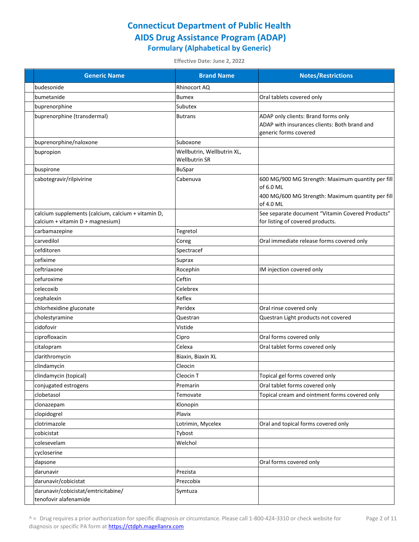| <b>Generic Name</b>                                | <b>Brand Name</b>          | <b>Notes/Restrictions</b>                                      |
|----------------------------------------------------|----------------------------|----------------------------------------------------------------|
| budesonide                                         | Rhinocort AQ               |                                                                |
| bumetanide                                         | <b>Bumex</b>               | Oral tablets covered only                                      |
| buprenorphine                                      | Subutex                    |                                                                |
| buprenorphine (transdermal)                        | <b>Butrans</b>             | ADAP only clients: Brand forms only                            |
|                                                    |                            | ADAP with insurances clients: Both brand and                   |
|                                                    |                            | generic forms covered                                          |
| buprenorphine/naloxone                             | Suboxone                   |                                                                |
| bupropion                                          | Wellbutrin, Wellbutrin XL, |                                                                |
|                                                    | <b>Wellbutrin SR</b>       |                                                                |
| buspirone                                          | <b>BuSpar</b>              |                                                                |
| cabotegravir/rilpivirine                           | Cabenuva                   | 600 MG/900 MG Strength: Maximum quantity per fill<br>of 6.0 ML |
|                                                    |                            | 400 MG/600 MG Strength: Maximum quantity per fill              |
|                                                    |                            | of 4.0 ML                                                      |
| calcium supplements (calcium, calcium + vitamin D, |                            | See separate document "Vitamin Covered Products"               |
| calcium + vitamin D + magnesium)                   |                            | for listing of covered products.                               |
| carbamazepine                                      | Tegretol                   |                                                                |
| carvedilol                                         | Coreg                      | Oral immediate release forms covered only                      |
| cefditoren                                         | Spectracef                 |                                                                |
| cefixime                                           | Suprax                     |                                                                |
| ceftriaxone                                        | Rocephin                   | IM injection covered only                                      |
| cefuroxime                                         | Ceftin                     |                                                                |
| celecoxib                                          | Celebrex                   |                                                                |
| cephalexin                                         | Keflex                     |                                                                |
| chlorhexidine gluconate                            | Peridex                    | Oral rinse covered only                                        |
| cholestyramine                                     | Questran                   | Questran Light products not covered                            |
| cidofovir                                          | Vistide                    |                                                                |
| ciprofloxacin                                      | Cipro                      | Oral forms covered only                                        |
| citalopram                                         | Celexa                     | Oral tablet forms covered only                                 |
| clarithromycin                                     | Biaxin, Biaxin XL          |                                                                |
| clindamycin                                        | Cleocin                    |                                                                |
| clindamycin (topical)                              | Cleocin T                  | Topical gel forms covered only                                 |
| conjugated estrogens                               | Premarin                   | Oral tablet forms covered only                                 |
| clobetasol                                         | Temovate                   | Topical cream and ointment forms covered only                  |
| clonazepam                                         | Klonopin                   |                                                                |
| clopidogrel                                        | Plavix                     |                                                                |
| clotrimazole                                       | Lotrimin, Mycelex          | Oral and topical forms covered only                            |
| cobicistat                                         | Tybost                     |                                                                |
| colesevelam                                        | Welchol                    |                                                                |
| cycloserine                                        |                            |                                                                |
| dapsone                                            |                            | Oral forms covered only                                        |
| darunavir                                          | Prezista                   |                                                                |
| darunavir/cobicistat                               | Prezcobix                  |                                                                |
| darunavir/cobicistat/emtricitabine/                | Symtuza                    |                                                                |
| tenofovir alafenamide                              |                            |                                                                |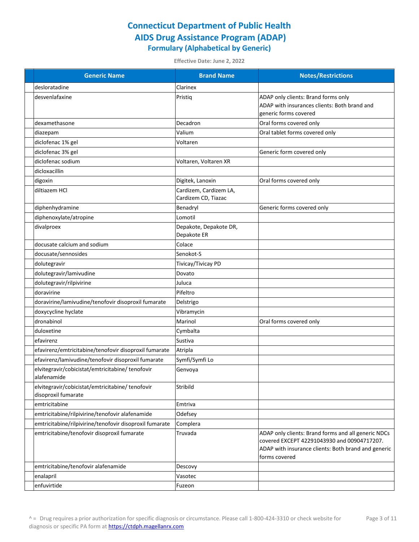| <b>Generic Name</b>                                                     | <b>Brand Name</b>      | <b>Notes/Restrictions</b>                           |
|-------------------------------------------------------------------------|------------------------|-----------------------------------------------------|
| desloratadine                                                           | Clarinex               |                                                     |
| desvenlafaxine                                                          | Pristiq                | ADAP only clients: Brand forms only                 |
|                                                                         |                        | ADAP with insurances clients: Both brand and        |
|                                                                         |                        | generic forms covered                               |
| dexamethasone                                                           | Decadron               | Oral forms covered only                             |
| diazepam                                                                | Valium                 | Oral tablet forms covered only                      |
| diclofenac 1% gel                                                       | Voltaren               |                                                     |
| diclofenac 3% gel                                                       |                        | Generic form covered only                           |
| diclofenac sodium                                                       | Voltaren, Voltaren XR  |                                                     |
| dicloxacillin                                                           |                        |                                                     |
| digoxin                                                                 | Digitek, Lanoxin       | Oral forms covered only                             |
| diltiazem HCl                                                           | Cardizem, Cardizem LA, |                                                     |
|                                                                         | Cardizem CD, Tiazac    |                                                     |
| diphenhydramine                                                         | Benadryl               | Generic forms covered only                          |
| diphenoxylate/atropine                                                  | Lomotil                |                                                     |
| divalproex                                                              | Depakote, Depakote DR, |                                                     |
|                                                                         | Depakote ER            |                                                     |
| docusate calcium and sodium                                             | Colace                 |                                                     |
| docusate/sennosides                                                     | Senokot-S              |                                                     |
| dolutegravir                                                            | Tivicay/Tivicay PD     |                                                     |
| dolutegravir/lamivudine                                                 | Dovato                 |                                                     |
| dolutegravir/rilpivirine                                                | Juluca                 |                                                     |
| doravirine                                                              | Pifeltro               |                                                     |
| doravirine/lamivudine/tenofovir disoproxil fumarate                     | Delstrigo              |                                                     |
| doxycycline hyclate                                                     | Vibramycin             |                                                     |
| dronabinol                                                              | Marinol                | Oral forms covered only                             |
| duloxetine                                                              | Cymbalta               |                                                     |
| efavirenz                                                               | Sustiva                |                                                     |
| efavirenz/emtricitabine/tenofovir disoproxil fumarate                   | Atripla                |                                                     |
| efavirenz/lamivudine/tenofovir disoproxil fumarate                      | Symfi/Symfi Lo         |                                                     |
| elvitegravir/cobicistat/emtricitabine/ tenofovir<br>alafenamide         | Genvoya                |                                                     |
| elvitegravir/cobicistat/emtricitabine/ tenofovir<br>disoproxil fumarate | Stribild               |                                                     |
| emtricitabine                                                           | Emtriva                |                                                     |
| emtricitabine/rilpivirine/tenofovir alafenamide                         | Odefsey                |                                                     |
| emtricitabine/rilpivirine/tenofovir disoproxil fumarate                 | Complera               |                                                     |
| emtricitabine/tenofovir disoproxil fumarate                             | Truvada                | ADAP only clients: Brand forms and all generic NDCs |
|                                                                         |                        | covered EXCEPT 42291043930 and 00904717207.         |
|                                                                         |                        | ADAP with insurance clients: Both brand and generic |
|                                                                         |                        | forms covered                                       |
| emtricitabine/tenofovir alafenamide                                     | Descovy                |                                                     |
| enalapril                                                               | Vasotec                |                                                     |
| enfuvirtide                                                             | Fuzeon                 |                                                     |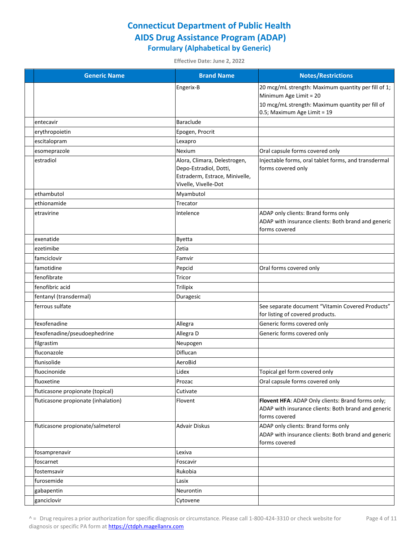| <b>Generic Name</b>                 | <b>Brand Name</b>                                                                                                | <b>Notes/Restrictions</b>                                                                                                                                        |
|-------------------------------------|------------------------------------------------------------------------------------------------------------------|------------------------------------------------------------------------------------------------------------------------------------------------------------------|
|                                     | Engerix-B                                                                                                        | 20 mcg/mL strength: Maximum quantity per fill of 1;<br>Minimum Age Limit = 20<br>10 mcg/mL strength: Maximum quantity per fill of<br>0.5; Maximum Age Limit = 19 |
| entecavir                           | Baraclude                                                                                                        |                                                                                                                                                                  |
| erythropoietin                      | Epogen, Procrit                                                                                                  |                                                                                                                                                                  |
| escitalopram                        | Lexapro                                                                                                          |                                                                                                                                                                  |
| esomeprazole                        | Nexium                                                                                                           | Oral capsule forms covered only                                                                                                                                  |
| estradiol                           | Alora, Climara, Delestrogen,<br>Depo-Estradiol, Dotti,<br>Estraderm, Estrace, Minivelle,<br>Vivelle, Vivelle-Dot | Injectable forms, oral tablet forms, and transdermal<br>forms covered only                                                                                       |
| ethambutol                          | Myambutol                                                                                                        |                                                                                                                                                                  |
| ethionamide                         | Trecator                                                                                                         |                                                                                                                                                                  |
| etravirine                          | Intelence                                                                                                        | ADAP only clients: Brand forms only<br>ADAP with insurance clients: Both brand and generic<br>forms covered                                                      |
| exenatide                           | <b>Byetta</b>                                                                                                    |                                                                                                                                                                  |
| ezetimibe                           | Zetia                                                                                                            |                                                                                                                                                                  |
| famciclovir                         | Famvir                                                                                                           |                                                                                                                                                                  |
| famotidine                          | Pepcid                                                                                                           | Oral forms covered only                                                                                                                                          |
| fenofibrate                         | Tricor                                                                                                           |                                                                                                                                                                  |
| fenofibric acid                     | <b>Trilipix</b>                                                                                                  |                                                                                                                                                                  |
| fentanyl (transdermal)              | Duragesic                                                                                                        |                                                                                                                                                                  |
| ferrous sulfate                     |                                                                                                                  | See separate document "Vitamin Covered Products"<br>for listing of covered products.                                                                             |
| fexofenadine                        | Allegra                                                                                                          | Generic forms covered only                                                                                                                                       |
| fexofenadine/pseudoephedrine        | Allegra D                                                                                                        | Generic forms covered only                                                                                                                                       |
| filgrastim                          | Neupogen                                                                                                         |                                                                                                                                                                  |
| fluconazole                         | Diflucan                                                                                                         |                                                                                                                                                                  |
| flunisolide                         | AeroBid                                                                                                          |                                                                                                                                                                  |
| <b>fluocinonide</b>                 | Lidex                                                                                                            | Topical gel form covered only                                                                                                                                    |
| fluoxetine                          | Prozac                                                                                                           | Oral capsule forms covered only                                                                                                                                  |
| fluticasone propionate (topical)    | Cutivate                                                                                                         |                                                                                                                                                                  |
| fluticasone propionate (inhalation) | Flovent                                                                                                          | Flovent HFA: ADAP Only clients: Brand forms only;<br>ADAP with insurance clients: Both brand and generic<br>forms covered                                        |
| fluticasone propionate/salmeterol   | Advair Diskus                                                                                                    | ADAP only clients: Brand forms only<br>ADAP with insurance clients: Both brand and generic<br>forms covered                                                      |
| fosamprenavir                       | Lexiva                                                                                                           |                                                                                                                                                                  |
| foscarnet                           | Foscavir                                                                                                         |                                                                                                                                                                  |
| fostemsavir                         | Rukobia                                                                                                          |                                                                                                                                                                  |
| furosemide                          | Lasix                                                                                                            |                                                                                                                                                                  |
| gabapentin                          | Neurontin                                                                                                        |                                                                                                                                                                  |
| ganciclovir                         | Cytovene                                                                                                         |                                                                                                                                                                  |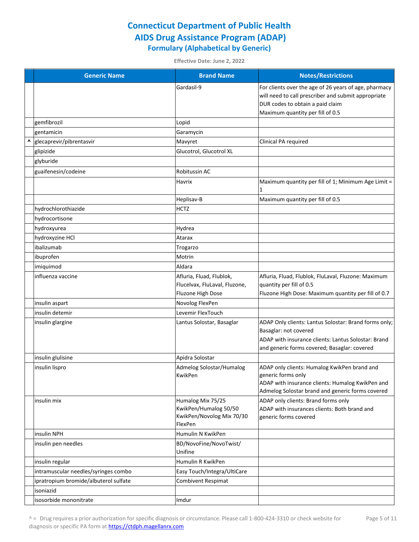| <b>Generic Name</b>                   | <b>Brand Name</b>                                                                  | <b>Notes/Restrictions</b>                                                                                                                                                             |
|---------------------------------------|------------------------------------------------------------------------------------|---------------------------------------------------------------------------------------------------------------------------------------------------------------------------------------|
|                                       | Gardasil-9                                                                         | For clients over the age of 26 years of age, pharmacy<br>will need to call prescriber and submit appropriate<br>DUR codes to obtain a paid claim<br>Maximum quantity per fill of 0.5  |
| gemfibrozil                           | Lopid                                                                              |                                                                                                                                                                                       |
| gentamicin                            | Garamycin                                                                          |                                                                                                                                                                                       |
| glecaprevir/pibrentasvir              | Mavyret                                                                            | Clinical PA required                                                                                                                                                                  |
| glipizide                             | Glucotrol, Glucotrol XL                                                            |                                                                                                                                                                                       |
| glyburide                             |                                                                                    |                                                                                                                                                                                       |
| guaifenesin/codeine                   | Robitussin AC                                                                      |                                                                                                                                                                                       |
|                                       | Havrix                                                                             | Maximum quantity per fill of 1; Minimum Age Limit =                                                                                                                                   |
|                                       | Heplisav-B                                                                         | Maximum quantity per fill of 0.5                                                                                                                                                      |
| hydrochlorothiazide                   | <b>HCTZ</b>                                                                        |                                                                                                                                                                                       |
| hydrocortisone                        |                                                                                    |                                                                                                                                                                                       |
| hydroxyurea                           | Hydrea                                                                             |                                                                                                                                                                                       |
| hydroxyzine HCl                       | Atarax                                                                             |                                                                                                                                                                                       |
| ibalizumab                            | Trogarzo                                                                           |                                                                                                                                                                                       |
| ibuprofen                             | Motrin                                                                             |                                                                                                                                                                                       |
| imiquimod                             | Aldara                                                                             |                                                                                                                                                                                       |
| influenza vaccine                     | Afluria, Fluad, Flublok,<br>Flucelvax, FluLaval, Fluzone,<br>Fluzone High Dose     | Afluria, Fluad, Flublok, FluLaval, Fluzone: Maximum<br>quantity per fill of 0.5<br>Fluzone High Dose: Maximum quantity per fill of 0.7                                                |
| insulin aspart                        | Novolog FlexPen                                                                    |                                                                                                                                                                                       |
| insulin detemir                       | Levemir FlexTouch                                                                  |                                                                                                                                                                                       |
| insulin glargine                      | Lantus Solostar, Basaglar                                                          | ADAP Only clients: Lantus Solostar: Brand forms only;<br>Basaglar: not covered<br>ADAP with insurance clients: Lantus Solostar: Brand<br>and generic forms covered; Basaglar: covered |
| insulin glulisine                     | Apidra Solostar                                                                    |                                                                                                                                                                                       |
| insulin lispro                        | Admelog Solostar/Humalog<br>KwikPen                                                | ADAP only clients: Humalog KwikPen brand and<br>generic forms only<br>ADAP with insurance clients: Humalog KwikPen and<br>Admelog Solostar brand and generic forms covered            |
| insulin mix                           | Humalog Mix 75/25<br>KwikPen/Humalog 50/50<br>KwikPen/Novolog Mix 70/30<br>FlexPen | ADAP only clients: Brand forms only<br>ADAP with insurances clients: Both brand and<br>generic forms covered                                                                          |
| insulin NPH                           | Humulin N KwikPen                                                                  |                                                                                                                                                                                       |
| insulin pen needles                   | BD/NovoFine/NovoTwist/<br>Unifine                                                  |                                                                                                                                                                                       |
| insulin regular                       | Humulin R KwikPen                                                                  |                                                                                                                                                                                       |
| intramuscular needles/syringes combo  | Easy Touch/Integra/UltiCare                                                        |                                                                                                                                                                                       |
| ipratropium bromide/albuterol sulfate | <b>Combivent Respimat</b>                                                          |                                                                                                                                                                                       |
| isoniazid                             |                                                                                    |                                                                                                                                                                                       |
| isosorbide mononitrate                | Imdur                                                                              |                                                                                                                                                                                       |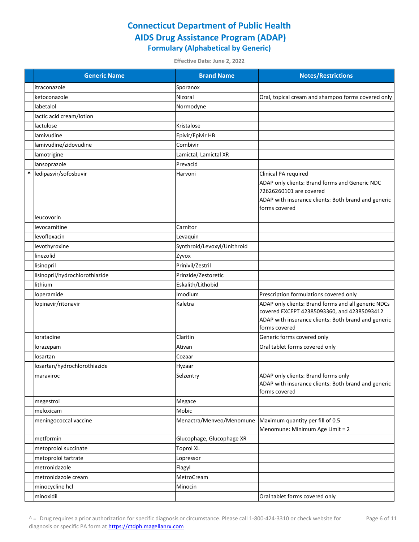|   | <b>Generic Name</b>            | <b>Brand Name</b>           | <b>Notes/Restrictions</b>                                                                          |
|---|--------------------------------|-----------------------------|----------------------------------------------------------------------------------------------------|
|   | itraconazole                   | Sporanox                    |                                                                                                    |
|   | ketoconazole                   | Nizoral                     | Oral, topical cream and shampoo forms covered only                                                 |
|   | labetalol                      | Normodyne                   |                                                                                                    |
|   | lactic acid cream/lotion       |                             |                                                                                                    |
|   | lactulose                      | Kristalose                  |                                                                                                    |
|   | lamivudine                     | Epivir/Epivir HB            |                                                                                                    |
|   | lamivudine/zidovudine          | Combivir                    |                                                                                                    |
|   | lamotrigine                    | Lamictal, Lamictal XR       |                                                                                                    |
|   | lansoprazole                   | Prevacid                    |                                                                                                    |
| Λ | ledipasvir/sofosbuvir          | Harvoni                     | Clinical PA required                                                                               |
|   |                                |                             | ADAP only clients: Brand forms and Generic NDC                                                     |
|   |                                |                             | 72626260101 are covered                                                                            |
|   |                                |                             | ADAP with insurance clients: Both brand and generic                                                |
|   |                                |                             | forms covered                                                                                      |
|   | leucovorin                     |                             |                                                                                                    |
|   | levocarnitine                  | Carnitor                    |                                                                                                    |
|   | levofloxacin                   | Levaquin                    |                                                                                                    |
|   | levothyroxine                  | Synthroid/Levoxyl/Unithroid |                                                                                                    |
|   | linezolid                      | Zyvox                       |                                                                                                    |
|   | lisinopril                     | Prinivil/Zestril            |                                                                                                    |
|   | lisinopril/hydrochlorothiazide | Prinzide/Zestoretic         |                                                                                                    |
|   | lithium                        | Eskalith/Lithobid           |                                                                                                    |
|   | loperamide                     | Imodium                     | Prescription formulations covered only                                                             |
|   | lopinavir/ritonavir            | Kaletra                     | ADAP only clients: Brand forms and all generic NDCs<br>covered EXCEPT 42385093360, and 42385093412 |
|   |                                |                             | ADAP with insurance clients: Both brand and generic                                                |
|   |                                |                             | forms covered                                                                                      |
|   | loratadine                     | Claritin                    | Generic forms covered only                                                                         |
|   | lorazepam                      | Ativan                      | Oral tablet forms covered only                                                                     |
|   | losartan                       | Cozaar                      |                                                                                                    |
|   | losartan/hydrochlorothiazide   | Hyzaar                      |                                                                                                    |
|   | maraviroc                      | Selzentry                   | ADAP only clients: Brand forms only                                                                |
|   |                                |                             | ADAP with insurance clients: Both brand and generic                                                |
|   |                                |                             | forms covered                                                                                      |
|   | megestrol<br>meloxicam         | Megace                      |                                                                                                    |
|   |                                | Mobic                       |                                                                                                    |
|   | meningococcal vaccine          | Menactra/Menveo/Menomune    | Maximum quantity per fill of 0.5<br>Menomune: Minimum Age Limit = 2                                |
|   | metformin                      | Glucophage, Glucophage XR   |                                                                                                    |
|   | metoprolol succinate           | <b>Toprol XL</b>            |                                                                                                    |
|   | metoprolol tartrate            | Lopressor                   |                                                                                                    |
|   | metronidazole                  | Flagyl                      |                                                                                                    |
|   | metronidazole cream            | MetroCream                  |                                                                                                    |
|   | minocycline hcl                | Minocin                     |                                                                                                    |
|   | minoxidil                      |                             | Oral tablet forms covered only                                                                     |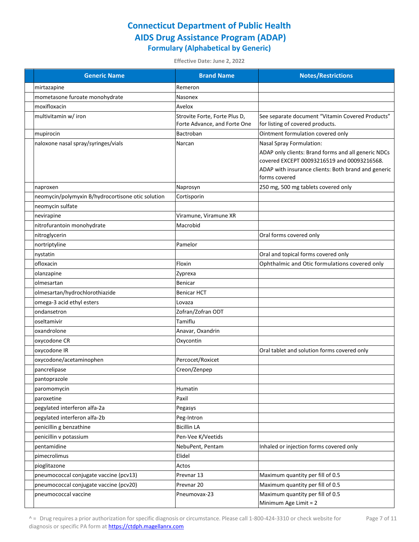| <b>Generic Name</b>                               | <b>Brand Name</b>                                             | <b>Notes/Restrictions</b>                                                                                                                                                  |
|---------------------------------------------------|---------------------------------------------------------------|----------------------------------------------------------------------------------------------------------------------------------------------------------------------------|
| mirtazapine                                       | Remeron                                                       |                                                                                                                                                                            |
| mometasone furoate monohydrate                    | Nasonex                                                       |                                                                                                                                                                            |
| moxifloxacin                                      | Avelox                                                        |                                                                                                                                                                            |
| multivitamin w/ iron                              | Strovite Forte, Forte Plus D,<br>Forte Advance, and Forte One | See separate document "Vitamin Covered Products"<br>for listing of covered products.                                                                                       |
| mupirocin                                         | Bactroban                                                     | Ointment formulation covered only                                                                                                                                          |
| naloxone nasal spray/syringes/vials               | Narcan                                                        | Nasal Spray Formulation:                                                                                                                                                   |
|                                                   |                                                               | ADAP only clients: Brand forms and all generic NDCs<br>covered EXCEPT 00093216519 and 00093216568.<br>ADAP with insurance clients: Both brand and generic<br>forms covered |
| naproxen                                          | Naprosyn                                                      | 250 mg, 500 mg tablets covered only                                                                                                                                        |
| neomycin/polymyxin B/hydrocortisone otic solution | Cortisporin                                                   |                                                                                                                                                                            |
| neomycin sulfate                                  |                                                               |                                                                                                                                                                            |
| nevirapine                                        | Viramune, Viramune XR                                         |                                                                                                                                                                            |
| nitrofurantoin monohydrate                        | Macrobid                                                      |                                                                                                                                                                            |
| nitroglycerin                                     |                                                               | Oral forms covered only                                                                                                                                                    |
| nortriptyline                                     | Pamelor                                                       |                                                                                                                                                                            |
| nystatin                                          |                                                               | Oral and topical forms covered only                                                                                                                                        |
| ofloxacin                                         | Floxin                                                        | Ophthalmic and Otic formulations covered only                                                                                                                              |
| olanzapine                                        | Zyprexa                                                       |                                                                                                                                                                            |
| olmesartan                                        | Benicar                                                       |                                                                                                                                                                            |
| olmesartan/hydrochlorothiazide                    | <b>Benicar HCT</b>                                            |                                                                                                                                                                            |
| omega-3 acid ethyl esters                         | Lovaza                                                        |                                                                                                                                                                            |
| ondansetron                                       | Zofran/Zofran ODT                                             |                                                                                                                                                                            |
| oseltamivir                                       | Tamiflu                                                       |                                                                                                                                                                            |
| oxandrolone                                       | Anavar, Oxandrin                                              |                                                                                                                                                                            |
| oxycodone CR                                      | Oxycontin                                                     |                                                                                                                                                                            |
| oxycodone IR                                      |                                                               | Oral tablet and solution forms covered only                                                                                                                                |
| oxycodone/acetaminophen                           | Percocet/Roxicet                                              |                                                                                                                                                                            |
| pancrelipase                                      | Creon/Zenpep                                                  |                                                                                                                                                                            |
| pantoprazole                                      |                                                               |                                                                                                                                                                            |
| paromomycin                                       | <b>Humatin</b>                                                |                                                                                                                                                                            |
| paroxetine                                        | Paxil                                                         |                                                                                                                                                                            |
| pegylated interferon alfa-2a                      | Pegasys                                                       |                                                                                                                                                                            |
| pegylated interferon alfa-2b                      | Peg-Intron                                                    |                                                                                                                                                                            |
| penicillin g benzathine                           | <b>Bicillin LA</b>                                            |                                                                                                                                                                            |
| penicillin v potassium                            | Pen-Vee K/Veetids                                             |                                                                                                                                                                            |
| pentamidine                                       | NebuPent, Pentam                                              | Inhaled or injection forms covered only                                                                                                                                    |
| pimecrolimus                                      | Elidel                                                        |                                                                                                                                                                            |
| pioglitazone                                      | Actos                                                         |                                                                                                                                                                            |
| pneumococcal conjugate vaccine (pcv13)            | Prevnar 13                                                    | Maximum quantity per fill of 0.5                                                                                                                                           |
| pneumococcal conjugate vaccine (pcv20)            | Prevnar 20                                                    | Maximum quantity per fill of 0.5                                                                                                                                           |
| pneumococcal vaccine                              | Pneumovax-23                                                  | Maximum quantity per fill of 0.5                                                                                                                                           |
|                                                   |                                                               | Minimum Age Limit = 2                                                                                                                                                      |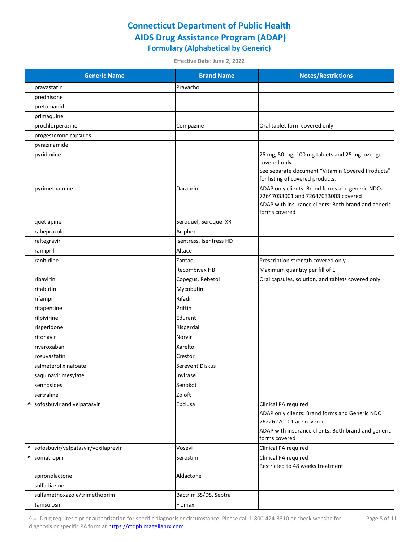**Effective Date: June 2, 2022**

|   | <b>Generic Name</b>                 | <b>Brand Name</b>       | <b>Notes/Restrictions</b>                                                              |
|---|-------------------------------------|-------------------------|----------------------------------------------------------------------------------------|
|   | pravastatin                         | Pravachol               |                                                                                        |
|   | prednisone                          |                         |                                                                                        |
|   | pretomanid                          |                         |                                                                                        |
|   | primaquine                          |                         |                                                                                        |
|   | prochlorperazine                    | Compazine               | Oral tablet form covered only                                                          |
|   | progesterone capsules               |                         |                                                                                        |
|   | pyrazinamide                        |                         |                                                                                        |
|   | pyridoxine                          |                         | 25 mg, 50 mg, 100 mg tablets and 25 mg lozenge<br>covered only                         |
|   |                                     |                         | See separate document "Vitamin Covered Products"<br>for listing of covered products.   |
|   | pyrimethamine                       | Daraprim                | ADAP only clients: Brand forms and generic NDCs<br>72647033001 and 72647033003 covered |
|   |                                     |                         | ADAP with insurance clients: Both brand and generic<br>forms covered                   |
|   | quetiapine                          | Seroquel, Seroquel XR   |                                                                                        |
|   | rabeprazole                         | Aciphex                 |                                                                                        |
|   | raltegravir                         | Isentress, Isentress HD |                                                                                        |
|   | ramipril                            | Altace                  |                                                                                        |
|   | ranitidine                          | Zantac                  | Prescription strength covered only                                                     |
|   |                                     | Recombivax HB           | Maximum quantity per fill of 1                                                         |
|   | ribavirin                           | Copegus, Rebetol        | Oral capsules, solution, and tablets covered only                                      |
|   | rifabutin                           | Mycobutin               |                                                                                        |
|   | rifampin                            | Rifadin                 |                                                                                        |
|   | rifapentine                         | Priftin                 |                                                                                        |
|   | rilpivirine                         | Edurant                 |                                                                                        |
|   | risperidone                         | Risperdal               |                                                                                        |
|   | ritonavir                           | Norvir                  |                                                                                        |
|   | rivaroxaban                         | Xarelto                 |                                                                                        |
|   | rosuvastatin                        | Crestor                 |                                                                                        |
|   | salmeterol xinafoate                | Serevent Diskus         |                                                                                        |
|   | saquinavir mesylate                 | Invirase                |                                                                                        |
|   | sennosides                          | Senokot                 |                                                                                        |
|   | sertraline                          | Zoloft                  |                                                                                        |
|   | A sofosbuvir and velpatasvir        | Epclusa                 | Clinical PA required                                                                   |
|   |                                     |                         | ADAP only clients: Brand forms and Generic NDC                                         |
|   |                                     |                         | 76226270101 are covered                                                                |
|   |                                     |                         | ADAP with insurance clients: Both brand and generic                                    |
|   | sofosbuvir/velpatasvir/voxilaprevir |                         | forms covered                                                                          |
| Λ |                                     | Vosevi                  | Clinical PA required                                                                   |
|   | ^ somatropin                        | Serostim                | Clinical PA required<br>Restricted to 48 weeks treatment                               |
|   | spironolactone                      | Aldactone               |                                                                                        |
|   | sulfadiazine                        |                         |                                                                                        |
|   | sulfamethoxazole/trimethoprim       | Bactrim SS/DS, Septra   |                                                                                        |
|   | tamsulosin                          | Flomax                  |                                                                                        |

^ = Drug requires a prior authorization for specific diagnosis or circumstance. Please call 1-800-424-3310 or check website for diagnosis or specific PA form at **https://ctdph.magellanrx.com**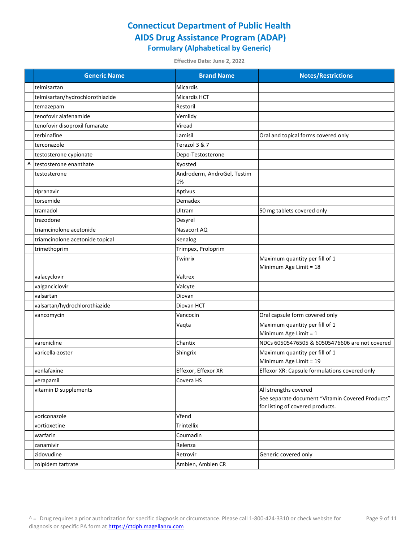|   | <b>Generic Name</b>             | <b>Brand Name</b>                 | <b>Notes/Restrictions</b>                                |
|---|---------------------------------|-----------------------------------|----------------------------------------------------------|
|   | telmisartan                     | Micardis                          |                                                          |
|   | telmisartan/hydrochlorothiazide | Micardis HCT                      |                                                          |
|   | temazepam                       | Restoril                          |                                                          |
|   | tenofovir alafenamide           | Vemlidy                           |                                                          |
|   | tenofovir disoproxil fumarate   | Viread                            |                                                          |
|   | terbinafine                     | Lamisil                           | Oral and topical forms covered only                      |
|   | terconazole                     | Terazol 3 & 7                     |                                                          |
|   | testosterone cypionate          | Depo-Testosterone                 |                                                          |
| v | testosterone enanthate          | Xyosted                           |                                                          |
|   | testosterone                    | Androderm, AndroGel, Testim<br>1% |                                                          |
|   | tipranavir                      | Aptivus                           |                                                          |
|   | torsemide                       | Demadex                           |                                                          |
|   | tramadol                        | Ultram                            | 50 mg tablets covered only                               |
|   | trazodone                       | Desyrel                           |                                                          |
|   | triamcinolone acetonide         | Nasacort AQ                       |                                                          |
|   | triamcinolone acetonide topical | Kenalog                           |                                                          |
|   | trimethoprim                    | Trimpex, Proloprim                |                                                          |
|   |                                 | Twinrix                           | Maximum quantity per fill of 1<br>Minimum Age Limit = 18 |
|   | valacyclovir                    | Valtrex                           |                                                          |
|   | valganciclovir                  | Valcyte                           |                                                          |
|   | valsartan                       | Diovan                            |                                                          |
|   | valsartan/hydrochlorothiazide   | Diovan HCT                        |                                                          |
|   | vancomycin                      | Vancocin                          | Oral capsule form covered only                           |
|   |                                 | Vaqta                             | Maximum quantity per fill of 1                           |
|   |                                 |                                   | Minimum Age Limit = 1                                    |
|   | varenicline                     | Chantix                           | NDCs 60505476505 & 60505476606 are not covered           |
|   | varicella-zoster                | Shingrix                          | Maximum quantity per fill of 1<br>Minimum Age Limit = 19 |
|   | venlafaxine                     | Effexor, Effexor XR               | Effexor XR: Capsule formulations covered only            |
|   | verapamil                       | Covera HS                         |                                                          |
|   | vitamin D supplements           |                                   | All strengths covered                                    |
|   |                                 |                                   | See separate document "Vitamin Covered Products"         |
|   |                                 |                                   | for listing of covered products.                         |
|   | voriconazole                    | Vfend                             |                                                          |
|   | vortioxetine                    | Trintellix                        |                                                          |
|   | warfarin                        | Coumadin                          |                                                          |
|   | zanamivir                       | Relenza                           |                                                          |
|   | zidovudine                      | Retrovir                          | Generic covered only                                     |
|   | zolpidem tartrate               | Ambien, Ambien CR                 |                                                          |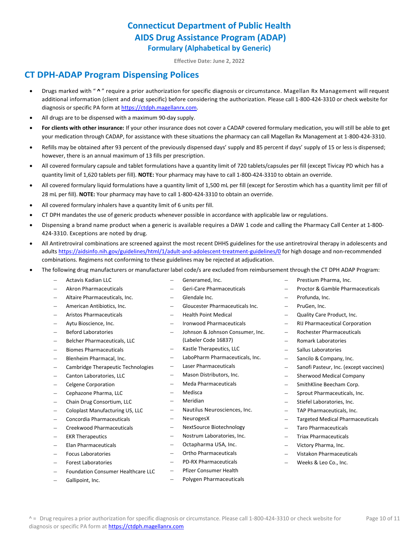**Effective Date: June 2, 2022**

## **CT DPH-ADAP Program Dispensing Polices**

- Drugs marked with " **^** " require a prior authorization for specific diagnosis or circumstance. Magellan Rx Management will request additional information (client and drug specific) before considering the authorization. Please call 1-800-424-3310 or check website for diagnosis or specific PA form a[t https://ctdph.magellanrx.com.](https://ctdph.magellanrx.com/)
- All drugs are to be dispensed with a maximum 90-day supply.
- **For clients with other insurance:** If your other insurance does not cover a CADAP covered formulary medication, you will still be able to get your medication through CADAP, for assistance with these situations the pharmacy can call Magellan Rx Management at 1-800-424-3310.
- Refills may be obtained after 93 percent of the previously dispensed days' supply and 85 percent if days' supply of 15 or less is dispensed; however, there is an annual maximum of 13 fills per prescription.
- All covered formulary capsule and tablet formulations have a quantity limit of 720 tablets/capsules per fill (except Tivicay PD which has a quantity limit of 1,620 tablets per fill). **NOTE:** Your pharmacy may have to call 1-800-424-3310 to obtain an override.
- All covered formulary liquid formulations have a quantity limit of 1,500 mL per fill (except for Serostim which has a quantity limit per fill of 28 mL per fill). **NOTE:** Your pharmacy may have to call 1-800-424-3310 to obtain an override.
- All covered formulary inhalers have a quantity limit of 6 units per fill.
- CT DPH mandates the use of generic products whenever possible in accordance with applicable law or regulations.
- Dispensing a brand name product when a generic is available requires a DAW 1 code and calling the Pharmacy Call Center at 1-800- 424-3310. Exceptions are noted by drug.
- All Antiretroviral combinations are screened against the most recent DHHS guidelines for the use antiretroviral therapy in adolescents and adults <https://aidsinfo.nih.gov/guidelines/html/1/adult-and-adolescent-treatment-guidelines/0> for high dosage and non-recommended combinations. Regimens not conforming to these guidelines may be rejected at adjudication.
- The following drug manufacturers or manufacturer label code/s are excluded from reimbursement through the CT DPH ADAP Program:
	- Actavis Kadian LLC

– Akron Pharmaceuticals – Altaire Pharmaceuticals, Inc. – American Antibiotics, Inc. – Aristos Pharmaceuticals – Aytu Bioscience, Inc. – Beford Laboratories

- Generamed, Inc.
- Geri-Care Pharmaceuticals
- Glendale Inc.
- Gloucester Pharmaceuticals Inc.
- Health Point Medical
- Ironwood Pharmaceuticals
- Johnson & Johnson Consumer, Inc. (Labeler Code 16837)
- Kastle Therapeutics, LLC
- LaboPharm Pharmaceuticals, Inc.
- Laser Pharmaceuticals
- Mason Distributors, Inc.
- Meda Pharmaceuticals
- Medisca
- **Meridian** 
	- Nautilus Neurosciences, Inc.
	- **NeurogesX**
- NextSource Biotechnology
- Nostrum Laboratories, Inc.
- Octapharma USA, Inc.
- Ortho Pharmaceuticals
- PD-RX Pharmaceuticals
- Pfizer Consumer Health
- Polygen Pharmaceuticals
- Prestium Pharma, Inc.
- Proctor & Gamble Pharmaceuticals
- Profunda, Inc.
- PruGen, Inc.
- Quality Care Product, Inc.
- RIJ Pharmaceutical Corporation
- Rochester Pharmaceuticals
- Romark Laboratories
- Sallus Laboratories
- Sancilo & Company, Inc.
- Sanofi Pasteur, Inc. (except vaccines)
- Sherwood Medical Company
- SmithKline Beecham Corp.
- Sprout Pharmaceuticals, Inc.
- Stiefel Laboratories, Inc.
- TAP Pharmaceuticals, Inc.
- Targeted Medical Pharmaceuticals
- Taro Pharmaceuticals
- Triax Pharmaceuticals
- Victory Pharma, Inc.
- Vistakon Pharmaceuticals
- Weeks & Leo Co., Inc.
- 
- 
- 
- Chain Drug Consortium, LLC

– Cambridge Therapeutic Technologies

– Belcher Pharmaceuticals, LLC – Biomes Pharmaceuticals – Blenheim Pharmacal, Inc.

– Coloplast Manufacturing US, LLC

– Canton Laboratories, LLC – Celgene Corporation – Cephazone Pharma, LLC

- Concordia Pharmaceuticals
- Creekwood Pharmaceuticals
- EKR Therapeutics
- 
- 
- 
- Foundation Consumer Healthcare LLC
- Gallipoint, Inc.
- 
- 
- Elan Pharmaceuticals
- Focus Laboratories
- 
- 
- 
- Forest Laboratories
- 
- 
- - -
		-
		-
		-
		-
		-
		-
		-
		-

- 
-